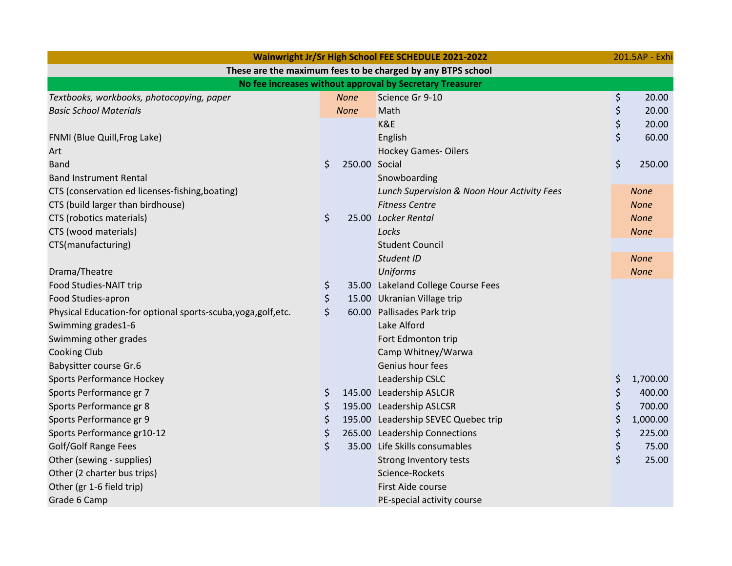| Wainwright Jr/Sr High School FEE SCHEDULE 2021-2022            |    |               |                                             |    |             |  |  |  |  |
|----------------------------------------------------------------|----|---------------|---------------------------------------------|----|-------------|--|--|--|--|
| These are the maximum fees to be charged by any BTPS school    |    |               |                                             |    |             |  |  |  |  |
| No fee increases without approval by Secretary Treasurer       |    |               |                                             |    |             |  |  |  |  |
| Textbooks, workbooks, photocopying, paper                      |    | <b>None</b>   | Science Gr 9-10                             | \$ | 20.00       |  |  |  |  |
| <b>Basic School Materials</b>                                  |    | <b>None</b>   | Math                                        | \$ | 20.00       |  |  |  |  |
|                                                                |    |               | K&E                                         | \$ | 20.00       |  |  |  |  |
| FNMI (Blue Quill, Frog Lake)                                   |    |               | English                                     | \$ | 60.00       |  |  |  |  |
| Art                                                            |    |               | <b>Hockey Games-Oilers</b>                  |    |             |  |  |  |  |
| <b>Band</b>                                                    | \$ | 250.00 Social |                                             | \$ | 250.00      |  |  |  |  |
| <b>Band Instrument Rental</b>                                  |    |               | Snowboarding                                |    |             |  |  |  |  |
| CTS (conservation ed licenses-fishing, boating)                |    |               | Lunch Supervision & Noon Hour Activity Fees |    | <b>None</b> |  |  |  |  |
| CTS (build larger than birdhouse)                              |    |               | <b>Fitness Centre</b>                       |    | <b>None</b> |  |  |  |  |
| CTS (robotics materials)                                       | \$ |               | 25.00 Locker Rental                         |    | <b>None</b> |  |  |  |  |
| CTS (wood materials)                                           |    |               | Locks                                       |    | <b>None</b> |  |  |  |  |
| CTS(manufacturing)                                             |    |               | <b>Student Council</b>                      |    |             |  |  |  |  |
|                                                                |    |               | Student ID                                  |    | <b>None</b> |  |  |  |  |
| Drama/Theatre                                                  |    |               | <b>Uniforms</b>                             |    | <b>None</b> |  |  |  |  |
| Food Studies-NAIT trip                                         | \$ |               | 35.00 Lakeland College Course Fees          |    |             |  |  |  |  |
| Food Studies-apron                                             | \$ |               | 15.00 Ukranian Village trip                 |    |             |  |  |  |  |
| Physical Education-for optional sports-scuba, yoga, golf, etc. | \$ |               | 60.00 Pallisades Park trip                  |    |             |  |  |  |  |
| Swimming grades1-6                                             |    |               | Lake Alford                                 |    |             |  |  |  |  |
| Swimming other grades                                          |    |               | Fort Edmonton trip                          |    |             |  |  |  |  |
| <b>Cooking Club</b>                                            |    |               | Camp Whitney/Warwa                          |    |             |  |  |  |  |
| <b>Babysitter course Gr.6</b>                                  |    |               | Genius hour fees                            |    |             |  |  |  |  |
| <b>Sports Performance Hockey</b>                               |    |               | Leadership CSLC                             | \$ | 1,700.00    |  |  |  |  |
| Sports Performance gr 7                                        | \$ |               | 145.00 Leadership ASLCJR                    | \$ | 400.00      |  |  |  |  |
| Sports Performance gr 8                                        | \$ |               | 195.00 Leadership ASLCSR                    | \$ | 700.00      |  |  |  |  |
| Sports Performance gr 9                                        | \$ |               | 195.00 Leadership SEVEC Quebec trip         | \$ | 1,000.00    |  |  |  |  |
| Sports Performance gr10-12                                     | \$ |               | 265.00 Leadership Connections               | \$ | 225.00      |  |  |  |  |
| Golf/Golf Range Fees                                           | \$ |               | 35.00 Life Skills consumables               | \$ | 75.00       |  |  |  |  |
| Other (sewing - supplies)                                      |    |               | Strong Inventory tests                      | \$ | 25.00       |  |  |  |  |
| Other (2 charter bus trips)                                    |    |               | Science-Rockets                             |    |             |  |  |  |  |
| Other (gr 1-6 field trip)                                      |    |               | First Aide course                           |    |             |  |  |  |  |
| Grade 6 Camp                                                   |    |               | PE-special activity course                  |    |             |  |  |  |  |